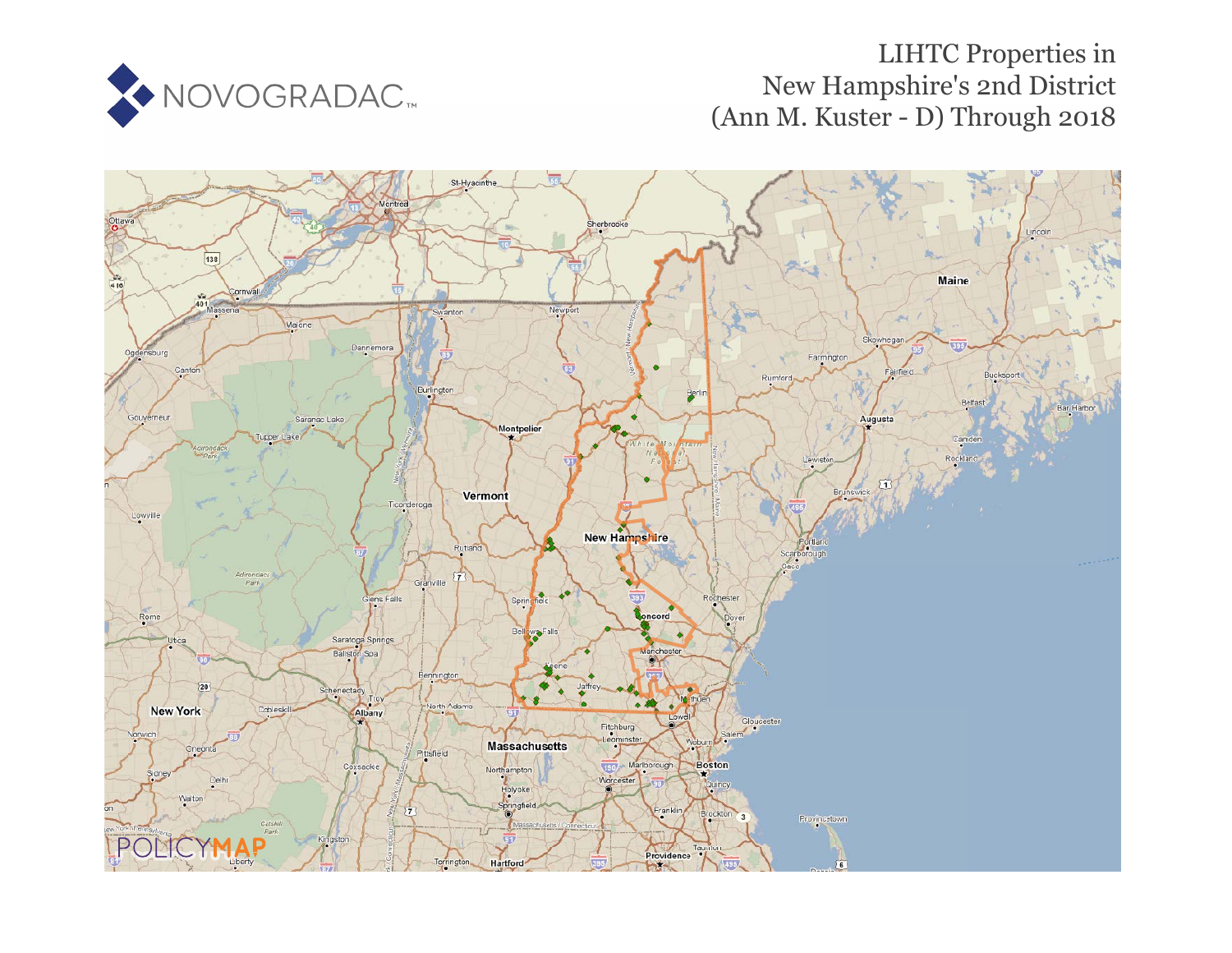

# LIHTC Properties in New Hampshire's 2nd District (Ann M. Kuster - D) Through 2018

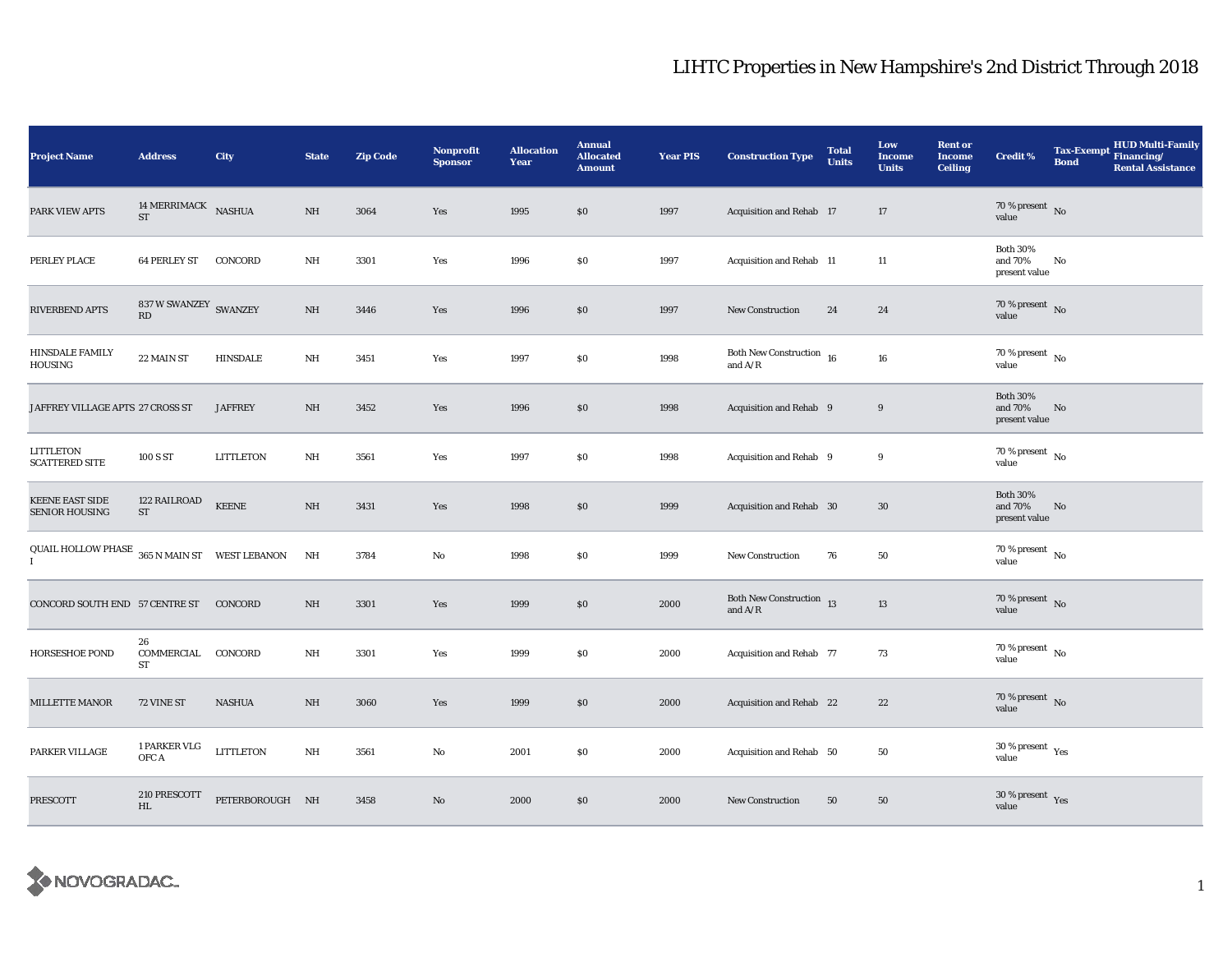| <b>Project Name</b>                                     | <b>Address</b>                             | <b>City</b>      | <b>State</b> | <b>Zip Code</b> | Nonprofit<br><b>Sponsor</b> | <b>Allocation</b><br>Year | <b>Annual</b><br><b>Allocated</b><br><b>Amount</b> | <b>Year PIS</b> | <b>Construction Type</b>                                                                    | <b>Total</b><br><b>Units</b> | Low<br><b>Income</b><br><b>Units</b> | <b>Rent or</b><br><b>Income</b><br><b>Ceiling</b> | <b>Credit %</b>                              | <b>Tax-Exempt</b><br><b>Bond</b> | <b>HUD Multi-Family</b><br>Financing/<br><b>Rental Assistance</b> |
|---------------------------------------------------------|--------------------------------------------|------------------|--------------|-----------------|-----------------------------|---------------------------|----------------------------------------------------|-----------------|---------------------------------------------------------------------------------------------|------------------------------|--------------------------------------|---------------------------------------------------|----------------------------------------------|----------------------------------|-------------------------------------------------------------------|
| PARK VIEW APTS                                          | 14 MERRIMACK NASHUA<br>$\operatorname{ST}$ |                  | NH           | 3064            | Yes                         | 1995                      | \$0                                                | 1997            | Acquisition and Rehab 17                                                                    |                              | 17                                   |                                                   | 70 % present $\,$ No $\,$<br>value           |                                  |                                                                   |
| PERLEY PLACE                                            | <b>64 PERLEY ST</b>                        | CONCORD          | $\rm{NH}$    | 3301            | Yes                         | 1996                      | \$0                                                | 1997            | Acquisition and Rehab 11                                                                    |                              | 11                                   |                                                   | <b>Both 30%</b><br>and 70%<br>present value  | No                               |                                                                   |
| RIVERBEND APTS                                          | 837 W SWANZEY SWANZEY<br>RD                |                  | NH           | 3446            | Yes                         | 1996                      | \$0                                                | 1997            | <b>New Construction</b>                                                                     | 24                           | 24                                   |                                                   | $70\,\%$ present $${\rm No}$$ value          |                                  |                                                                   |
| <b>HINSDALE FAMILY</b><br>HOUSING                       | 22 MAIN ST                                 | <b>HINSDALE</b>  | NH           | 3451            | Yes                         | 1997                      | \$0                                                | 1998            | Both New Construction $\,$ 16 $\,$<br>and $\ensuremath{\mathrm{A}}/\ensuremath{\mathrm{R}}$ |                              | ${\bf 16}$                           |                                                   | $70\,\%$ present $\,$ No value               |                                  |                                                                   |
| JAFFREY VILLAGE APTS  27 CROSS ST                       |                                            | <b>JAFFREY</b>   | NH           | 3452            | Yes                         | 1996                      | \$0                                                | 1998            | Acquisition and Rehab 9                                                                     |                              | 9                                    |                                                   | <b>Both 30%</b><br>and 70%<br>present value  | No                               |                                                                   |
| LITTLETON<br><b>SCATTERED SITE</b>                      | 100 S ST                                   | <b>LITTLETON</b> | NH           | 3561            | Yes                         | 1997                      | \$0                                                | 1998            | Acquisition and Rehab 9                                                                     |                              | 9                                    |                                                   | 70 % present $\hbox{~No}$<br>value           |                                  |                                                                   |
| KEENE EAST SIDE<br><b>SENIOR HOUSING</b>                | 122 RAILROAD<br>$\operatorname{ST}$        | <b>KEENE</b>     | NH           | 3431            | Yes                         | 1998                      | \$0                                                | 1999            | Acquisition and Rehab 30                                                                    |                              | $30\,$                               |                                                   | <b>Both 30%</b><br>and 70%<br>present value  | No                               |                                                                   |
| QUAIL HOLLOW PHASE $\,$ 365 N MAIN ST $\,$ WEST LEBANON |                                            |                  | NH           | 3784            | No                          | 1998                      | $\$0$                                              | 1999            | <b>New Construction</b>                                                                     | 76                           | ${\bf 50}$                           |                                                   | 70 % present $\,$ No $\,$<br>value           |                                  |                                                                   |
| CONCORD SOUTH END 57 CENTRE ST                          |                                            | CONCORD          | NH           | 3301            | Yes                         | 1999                      | \$0                                                | 2000            | Both New Construction 13<br>and $A/R$                                                       |                              | $13\,$                               |                                                   | $70\,\%$ present $${\rm No}$$ value          |                                  |                                                                   |
| <b>HORSESHOE POND</b>                                   | 26<br>COMMERCIAL<br>ST                     | CONCORD          | NH           | 3301            | Yes                         | 1999                      | $\$0$                                              | 2000            | Acquisition and Rehab 77                                                                    |                              | 73                                   |                                                   | $70$ % present $_{\, \rm No}$<br>value       |                                  |                                                                   |
| MILLETTE MANOR                                          | 72 VINE ST                                 | <b>NASHUA</b>    | NH           | 3060            | Yes                         | 1999                      | \$0                                                | 2000            | Acquisition and Rehab 22                                                                    |                              | 22                                   |                                                   | $70\,\%$ present $${\rm No}$$ value          |                                  |                                                                   |
| PARKER VILLAGE                                          | 1 PARKER VLG<br>OFC A                      | <b>LITTLETON</b> | NH           | 3561            | No                          | 2001                      | \$0                                                | 2000            | Acquisition and Rehab 50                                                                    |                              | 50                                   |                                                   | $30$ % present $\rm\thinspace\,Yes$<br>value |                                  |                                                                   |
| <b>PRESCOTT</b>                                         | 210 PRESCOTT<br>HL                         | PETERBOROUGH NH  |              | 3458            | No                          | 2000                      | \$0                                                | 2000            | New Construction                                                                            | 50                           | 50                                   |                                                   | $30\,\%$ present $\,$ Yes value              |                                  |                                                                   |

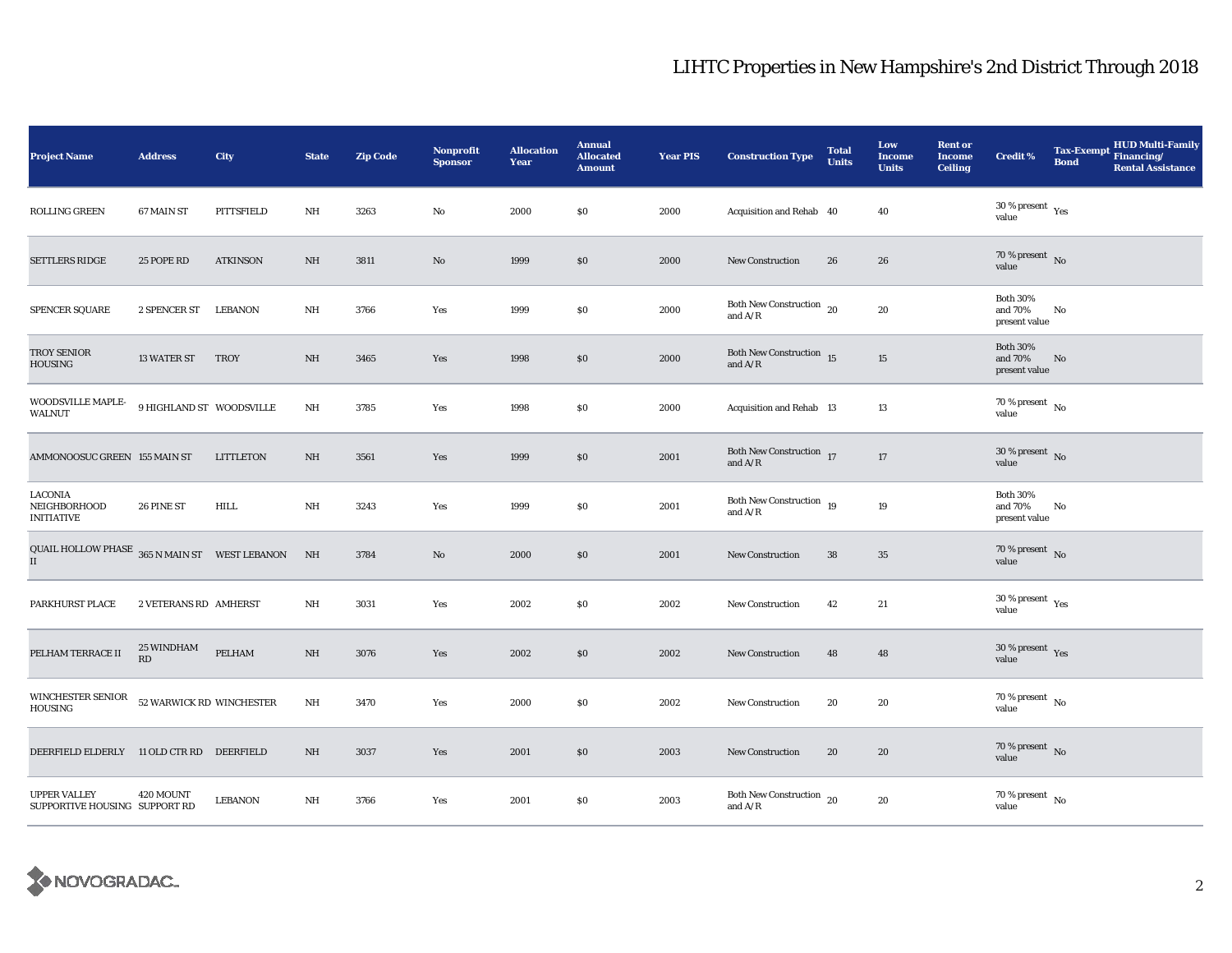| <b>Project Name</b>                                             | <b>Address</b>           | City             | <b>State</b> | <b>Zip Code</b> | Nonprofit<br><b>Sponsor</b> | <b>Allocation</b><br>Year | <b>Annual</b><br><b>Allocated</b><br><b>Amount</b> | <b>Year PIS</b> | <b>Construction Type</b>                                                          | <b>Total</b><br><b>Units</b> | Low<br><b>Income</b><br><b>Units</b> | <b>Rent or</b><br><b>Income</b><br>Ceiling | <b>Credit %</b>                                      | <b>Bond</b> | <b>HUD Multi-Family</b><br>Tax-Exempt Financing/<br><b>Rental Assistance</b> |
|-----------------------------------------------------------------|--------------------------|------------------|--------------|-----------------|-----------------------------|---------------------------|----------------------------------------------------|-----------------|-----------------------------------------------------------------------------------|------------------------------|--------------------------------------|--------------------------------------------|------------------------------------------------------|-------------|------------------------------------------------------------------------------|
| <b>ROLLING GREEN</b>                                            | 67 MAIN ST               | PITTSFIELD       | NH           | 3263            | No                          | 2000                      | <b>SO</b>                                          | 2000            | Acquisition and Rehab 40                                                          |                              | 40                                   |                                            | $30$ % present $\rm\thinspace\,Yes$<br>value         |             |                                                                              |
| <b>SETTLERS RIDGE</b>                                           | 25 POPE RD               | <b>ATKINSON</b>  | NH           | 3811            | No                          | 1999                      | \$0                                                | 2000            | <b>New Construction</b>                                                           | 26                           | 26                                   |                                            | $70\,\%$ present $\,$ No $\,$<br>value               |             |                                                                              |
| <b>SPENCER SQUARE</b>                                           | 2 SPENCER ST LEBANON     |                  | NH           | 3766            | Yes                         | 1999                      | \$0                                                | 2000            | Both New Construction 20<br>and $A/R$                                             |                              | 20                                   |                                            | <b>Both 30%</b><br>and 70%<br>present value          | No          |                                                                              |
| TROY SENIOR<br>HOUSING                                          | 13 WATER ST              | <b>TROY</b>      | NH           | 3465            | Yes                         | 1998                      | \$0                                                | 2000            | Both New Construction $15$<br>and $\mathrm{A}/\mathrm{R}$                         |                              | 15                                   |                                            | <b>Both 30%</b><br>and 70%<br>present value          | No          |                                                                              |
| WOODSVILLE MAPLE-<br><b>WALNUT</b>                              | 9 HIGHLAND ST WOODSVILLE |                  | $\rm{NH}$    | 3785            | Yes                         | 1998                      | \$0                                                | 2000            | Acquisition and Rehab 13                                                          |                              | 13                                   |                                            | $70\,\%$ present $\,$ No value                       |             |                                                                              |
| AMMONOOSUC GREEN 155 MAIN ST                                    |                          | <b>LITTLETON</b> | NH           | 3561            | Yes                         | 1999                      | \$0                                                | 2001            | Both New Construction 17<br>and $\ensuremath{\mathrm{A}}/\ensuremath{\mathrm{R}}$ |                              | 17                                   |                                            | $30\%$ present No<br>value                           |             |                                                                              |
| <b>LACONIA</b><br>NEIGHBORHOOD<br><b>INITIATIVE</b>             | 26 PINE ST               | <b>HILL</b>      | $\rm{NH}$    | 3243            | Yes                         | 1999                      | \$0                                                | 2001            | Both New Construction 19<br>and $A/R$                                             |                              | 19                                   |                                            | <b>Both 30%</b><br>and 70%<br>present value          | No          |                                                                              |
| QUAIL HOLLOW PHASE $365$ N MAIN ST WEST LEBANON<br>$\mathbf{I}$ |                          |                  | NH           | 3784            | No                          | 2000                      | \$0                                                | 2001            | <b>New Construction</b>                                                           | ${\bf 38}$                   | 35                                   |                                            | $70\,\%$ present $\,$ No value                       |             |                                                                              |
| PARKHURST PLACE                                                 | 2 VETERANS RD AMHERST    |                  | NH           | 3031            | Yes                         | 2002                      | \$0                                                | 2002            | New Construction                                                                  | 42                           | 21                                   |                                            | 30 % present $\rm\thinspace\gamma_{\rm es}$<br>value |             |                                                                              |
| PELHAM TERRACE II                                               | <b>25 WINDHAM</b><br>RD  | PELHAM           | NH           | 3076            | Yes                         | 2002                      | $\$0$                                              | 2002            | New Construction                                                                  | 48                           | 48                                   |                                            | $30$ % present $\,$ $\rm Yes$<br>value               |             |                                                                              |
| WINCHESTER SENIOR<br>HOUSING                                    | 52 WARWICK RD WINCHESTER |                  | $\rm{NH}$    | 3470            | Yes                         | 2000                      | \$0                                                | 2002            | New Construction                                                                  | 20                           | 20                                   |                                            | 70 % present $\hbox{~No}$<br>value                   |             |                                                                              |
| DEERFIELD ELDERLY 11 OLD CTR RD DEERFIELD                       |                          |                  | NH           | 3037            | Yes                         | 2001                      | $\$0$                                              | 2003            | <b>New Construction</b>                                                           | 20                           | 20                                   |                                            | $70\,\%$ present $\,$ No value                       |             |                                                                              |
| <b>UPPER VALLEY</b><br>SUPPORTIVE HOUSING SUPPORT RD            | 420 MOUNT                | <b>LEBANON</b>   | NH           | 3766            | Yes                         | 2001                      | $\$0$                                              | 2003            | Both New Construction 20<br>and $A/R$                                             |                              | 20                                   |                                            | $70\,\%$ present $\,$ No value                       |             |                                                                              |

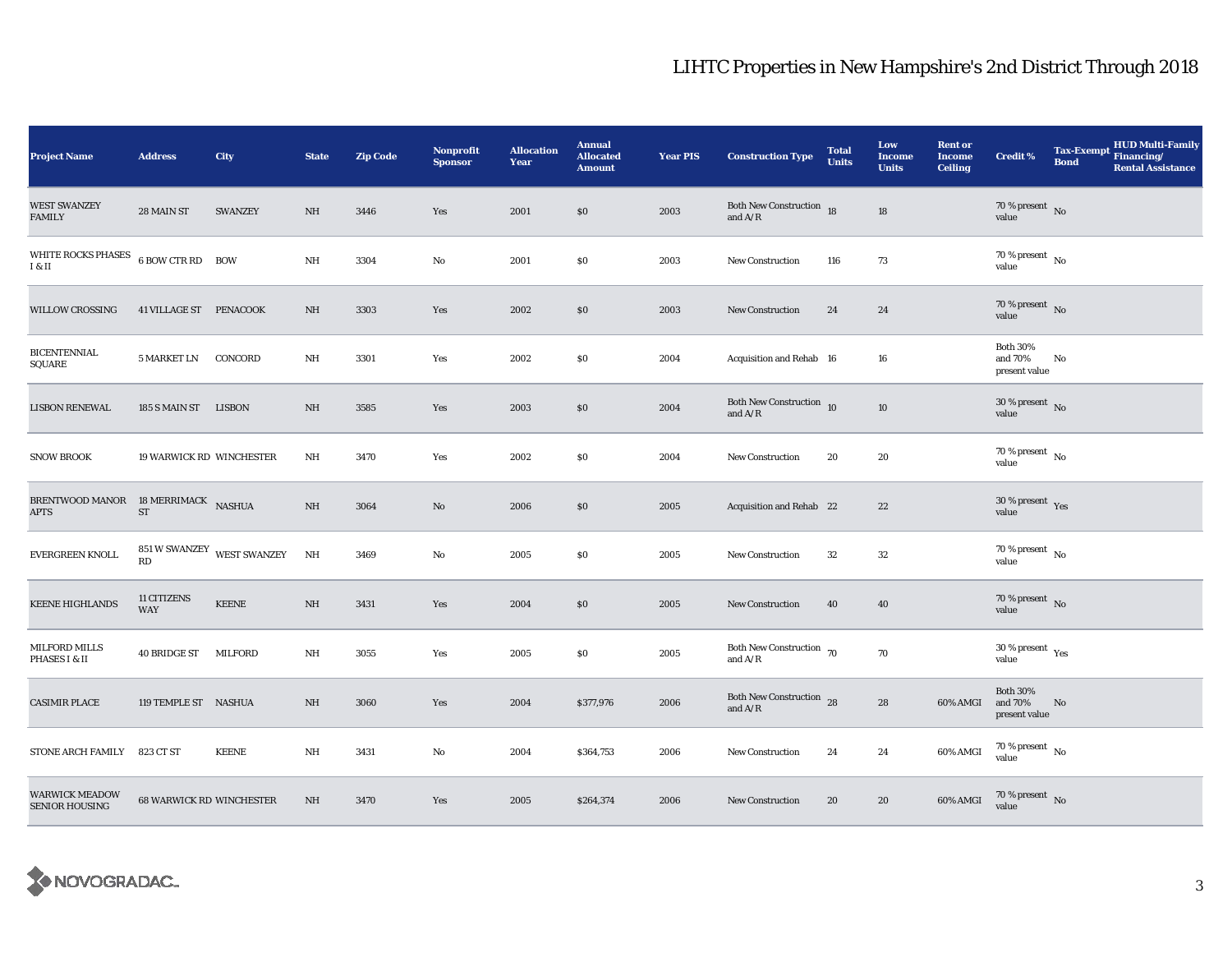| <b>Project Name</b>                                | <b>Address</b>                  | <b>City</b>                | <b>State</b> | <b>Zip Code</b> | Nonprofit<br><b>Sponsor</b> | <b>Allocation</b><br>Year | <b>Annual</b><br><b>Allocated</b><br><b>Amount</b> | <b>Year PIS</b> | <b>Construction Type</b>                                | <b>Total</b><br><b>Units</b> | Low<br><b>Income</b><br><b>Units</b> | <b>Rent or</b><br><b>Income</b><br><b>Ceiling</b> | <b>Credit %</b>                                       | Tax-Exempt Financing/<br><b>Bond</b> | <b>HUD Multi-Family</b><br><b>Rental Assistance</b> |
|----------------------------------------------------|---------------------------------|----------------------------|--------------|-----------------|-----------------------------|---------------------------|----------------------------------------------------|-----------------|---------------------------------------------------------|------------------------------|--------------------------------------|---------------------------------------------------|-------------------------------------------------------|--------------------------------------|-----------------------------------------------------|
| <b>WEST SWANZEY</b><br><b>FAMILY</b>               | 28 MAIN ST                      | <b>SWANZEY</b>             | $\rm{NH}$    | 3446            | Yes                         | 2001                      | \$0                                                | 2003            | Both New Construction 18<br>and $\mathrm{A}/\mathrm{R}$ |                              | 18                                   |                                                   | $70\,\%$ present $${\rm No}$$ value                   |                                      |                                                     |
| <b>WHITE ROCKS PHASES</b><br>I & II                | 6 BOW CTR RD BOW                |                            | $\rm{NH}$    | 3304            | No                          | 2001                      | $\$0$                                              | 2003            | <b>New Construction</b>                                 | 116                          | 73                                   |                                                   | 70 % present $\overline{N_0}$<br>value                |                                      |                                                     |
| <b>WILLOW CROSSING</b>                             | 41 VILLAGE ST PENACOOK          |                            | NH           | 3303            | Yes                         | 2002                      | \$0                                                | 2003            | New Construction                                        | 24                           | 24                                   |                                                   | $70\%$ present No<br>value                            |                                      |                                                     |
| <b>BICENTENNIAL</b><br><b>SQUARE</b>               | 5 MARKET LN                     | CONCORD                    | NH           | 3301            | Yes                         | 2002                      | \$0                                                | 2004            | Acquisition and Rehab 16                                |                              | 16                                   |                                                   | <b>Both 30%</b><br>and 70%<br>present value           | No                                   |                                                     |
| <b>LISBON RENEWAL</b>                              | 185 S MAIN ST LISBON            |                            | NH           | 3585            | Yes                         | 2003                      | \$0                                                | 2004            | Both New Construction 10<br>and $A/R$                   |                              | 10                                   |                                                   | $30\,\%$ present $\,$ No value                        |                                      |                                                     |
| <b>SNOW BROOK</b>                                  | 19 WARWICK RD WINCHESTER        |                            | NH           | 3470            | Yes                         | 2002                      | \$0                                                | 2004            | New Construction                                        | 20                           | 20                                   |                                                   | 70 % present $\,$ No $\,$<br>value                    |                                      |                                                     |
| BRENTWOOD MANOR 18 MERRIMACK NASHUA<br><b>APTS</b> | ${\rm ST}$                      |                            | $\rm{NH}$    | 3064            | No                          | 2006                      | \$0                                                | 2005            | Acquisition and Rehab 22                                |                              | 22                                   |                                                   | 30 % present $\rm\thinspace\gamma_{\rm e s}$<br>value |                                      |                                                     |
| <b>EVERGREEN KNOLL</b>                             | RD                              | 851 W SWANZEY WEST SWANZEY | $\rm{NH}$    | 3469            | No                          | 2005                      | $\$0$                                              | 2005            | <b>New Construction</b>                                 | 32                           | 32                                   |                                                   | $70\,\%$ present $\,$ No value                        |                                      |                                                     |
| <b>KEENE HIGHLANDS</b>                             | 11 CITIZENS<br>WAY              | <b>KEENE</b>               | NH           | 3431            | Yes                         | 2004                      | $\$0$                                              | 2005            | New Construction                                        | 40                           | 40                                   |                                                   | 70 % present $\bar{N}$ o<br>value                     |                                      |                                                     |
| <b>MILFORD MILLS</b><br>PHASES I & II              | 40 BRIDGE ST MILFORD            |                            | NH           | 3055            | Yes                         | 2005                      | \$0                                                | 2005            | Both New Construction 70<br>and $A/R$                   |                              | 70                                   |                                                   | 30 % present $\rm\,Yes$<br>value                      |                                      |                                                     |
| <b>CASIMIR PLACE</b>                               | 119 TEMPLE ST NASHUA            |                            | NH           | 3060            | Yes                         | 2004                      | \$377,976                                          | 2006            | Both New Construction 28<br>and $A/R$                   |                              | 28                                   | 60% AMGI                                          | <b>Both 30%</b><br>and 70%<br>present value           | No                                   |                                                     |
| STONE ARCH FAMILY                                  | 823 CT ST                       | <b>KEENE</b>               | NH           | 3431            | No                          | 2004                      | \$364,753                                          | 2006            | New Construction                                        | 24                           | 24                                   | 60% AMGI                                          | $70\,\%$ present $\,$ No value                        |                                      |                                                     |
| <b>WARWICK MEADOW</b><br><b>SENIOR HOUSING</b>     | <b>68 WARWICK RD WINCHESTER</b> |                            | NH           | 3470            | Yes                         | 2005                      | \$264,374                                          | 2006            | <b>New Construction</b>                                 | 20                           | 20                                   | 60% AMGI                                          | $70\,\%$ present $\,$ No value                        |                                      |                                                     |

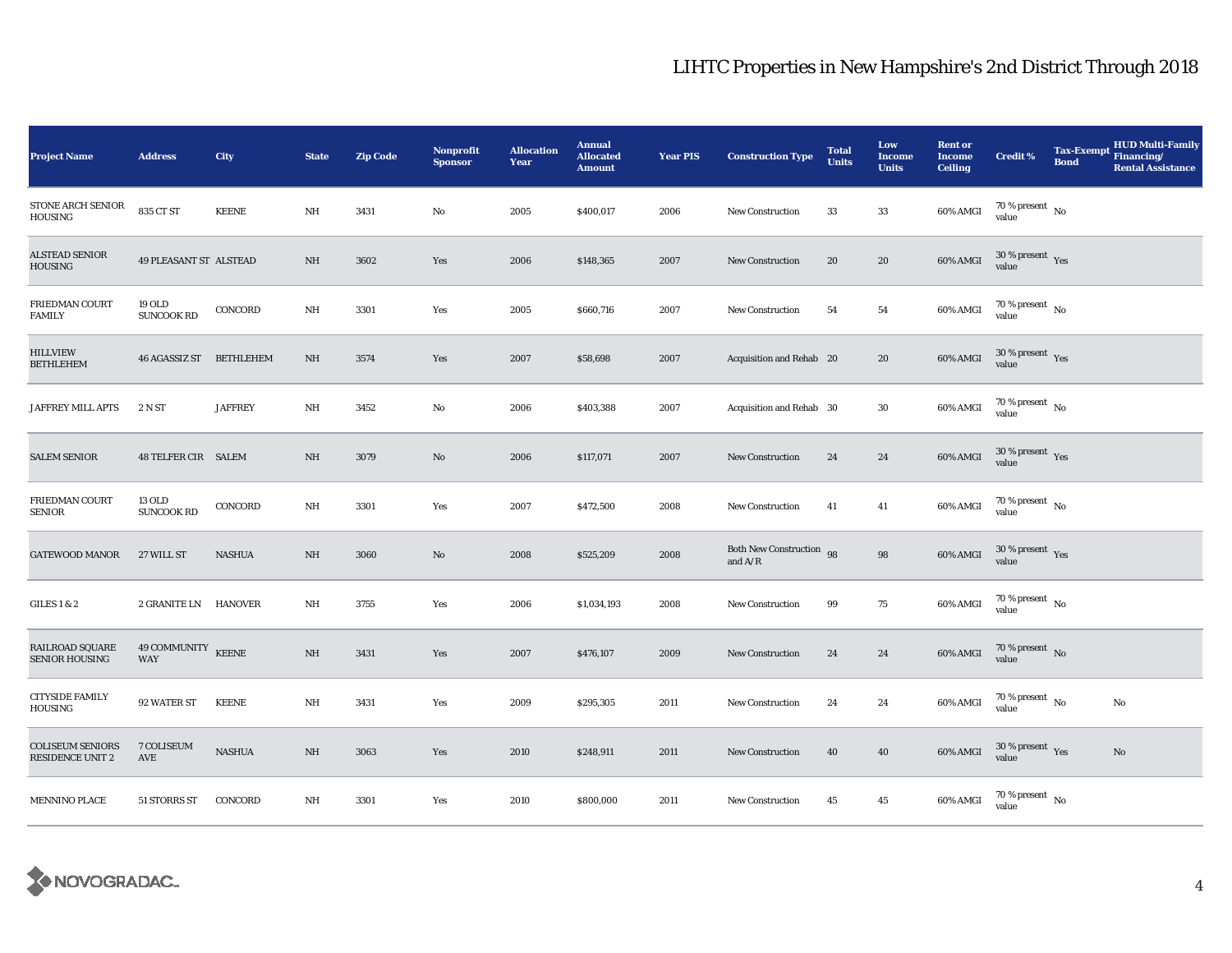| <b>Project Name</b>                                | <b>Address</b>                     | <b>City</b>                      | <b>State</b> | <b>Zip Code</b> | <b>Nonprofit</b><br><b>Sponsor</b> | <b>Allocation</b><br>Year | <b>Annual</b><br><b>Allocated</b><br><b>Amount</b> | <b>Year PIS</b> | <b>Construction Type</b>              | <b>Total</b><br><b>Units</b> | Low<br><b>Income</b><br><b>Units</b> | <b>Rent or</b><br><b>Income</b><br><b>Ceiling</b> | <b>Credit %</b>                          | Tax-Exempt Financing/<br><b>Bond</b> | <b>HUD Multi-Family</b><br><b>Rental Assistance</b> |
|----------------------------------------------------|------------------------------------|----------------------------------|--------------|-----------------|------------------------------------|---------------------------|----------------------------------------------------|-----------------|---------------------------------------|------------------------------|--------------------------------------|---------------------------------------------------|------------------------------------------|--------------------------------------|-----------------------------------------------------|
| STONE ARCH SENIOR<br>HOUSING                       | 835 CT ST                          | <b>KEENE</b>                     | NH           | 3431            | No                                 | 2005                      | \$400,017                                          | 2006            | <b>New Construction</b>               | 33                           | 33                                   | 60% AMGI                                          | $70$ % present $$\rm{No}$$ value         |                                      |                                                     |
| <b>ALSTEAD SENIOR</b><br>HOUSING                   | 49 PLEASANT ST ALSTEAD             |                                  | NH           | 3602            | Yes                                | 2006                      | \$148,365                                          | 2007            | <b>New Construction</b>               | 20                           | 20                                   | 60% AMGI                                          | $30\,\%$ present $\,$ $\rm Yes$<br>value |                                      |                                                     |
| FRIEDMAN COURT<br><b>FAMILY</b>                    | 19 OLD<br><b>SUNCOOK RD</b>        | CONCORD                          | NH           | 3301            | Yes                                | 2005                      | \$660,716                                          | 2007            | New Construction                      | 54                           | 54                                   | 60% AMGI                                          | $70\,\%$ present $\,$ No value           |                                      |                                                     |
| <b>HILLVIEW</b><br><b>BETHLEHEM</b>                | 46 AGASSIZ ST                      | <b>BETHLEHEM</b>                 | NH           | 3574            | Yes                                | 2007                      | \$58,698                                           | 2007            | Acquisition and Rehab 20              |                              | 20                                   | 60% AMGI                                          | $30\,\%$ present $\,$ Yes<br>value       |                                      |                                                     |
| JAFFREY MILL APTS                                  | 2 N ST                             | <b>JAFFREY</b>                   | $\rm{NH}$    | 3452            | $\rm No$                           | 2006                      | \$403,388                                          | 2007            | Acquisition and Rehab 30              |                              | $30\,$                               | 60% AMGI                                          | $70\,\%$ present $\,$ No value           |                                      |                                                     |
| <b>SALEM SENIOR</b>                                | 48 TELFER CIR SALEM                |                                  | $\rm{NH}$    | 3079            | No                                 | 2006                      | \$117,071                                          | 2007            | <b>New Construction</b>               | 24                           | 24                                   | $60\%$ AMGI                                       | $30\,\%$ present $\,$ Yes value          |                                      |                                                     |
| FRIEDMAN COURT<br><b>SENIOR</b>                    | 13 OLD<br><b>SUNCOOK RD</b>        | CONCORD                          | $\rm{NH}$    | 3301            | Yes                                | 2007                      | \$472,500                                          | 2008            | <b>New Construction</b>               | 41                           | 41                                   | 60% AMGI                                          | $70\,\%$ present $\,$ No value           |                                      |                                                     |
| <b>GATEWOOD MANOR</b>                              | 27 WILL ST                         | <b>NASHUA</b>                    | NH           | 3060            | No                                 | 2008                      | \$525,209                                          | 2008            | Both New Construction 98<br>and $A/R$ |                              | 98                                   | 60% AMGI                                          | $30\,\%$ present $\,$ Yes value          |                                      |                                                     |
| GILES 1 & 2                                        | 2 GRANITE LN HANOVER               |                                  | NH           | 3755            | Yes                                | 2006                      | \$1,034,193                                        | 2008            | <b>New Construction</b>               | 99                           | 75                                   | 60% AMGI                                          | $70\,\%$ present $\,$ No value           |                                      |                                                     |
| RAILROAD SQUARE<br><b>SENIOR HOUSING</b>           | 49 COMMUNITY KEENE<br>WAY          |                                  | NH           | 3431            | Yes                                | 2007                      | \$476,107                                          | 2009            | New Construction                      | 24                           | 24                                   | 60% AMGI                                          | $70\,\%$ present $\,$ No value           |                                      |                                                     |
| <b>CITYSIDE FAMILY</b><br><b>HOUSING</b>           | 92 WATER ST                        | <b>KEENE</b>                     | NH           | 3431            | Yes                                | 2009                      | \$295,305                                          | 2011            | <b>New Construction</b>               | 24                           | 24                                   | 60% AMGI                                          | 70 % present $\hbox{~No}$<br>value       |                                      | No                                                  |
| <b>COLISEUM SENIORS</b><br><b>RESIDENCE UNIT 2</b> | 7 COLISEUM<br>$\operatorname{AVE}$ | $\operatorname{\mathsf{NASHUA}}$ | $\rm{NH}$    | 3063            | Yes                                | 2010                      | \$248,911                                          | 2011            | New Construction                      | 40                           | 40                                   | 60% AMGI                                          | $30\,\%$ present $\,$ Yes value          |                                      | No                                                  |
| <b>MENNINO PLACE</b>                               | 51 STORRS ST                       | CONCORD                          | NH           | 3301            | Yes                                | 2010                      | \$800,000                                          | 2011            | New Construction                      | 45                           | 45                                   | 60% AMGI                                          | $70\,\%$ present $\,$ No value           |                                      |                                                     |

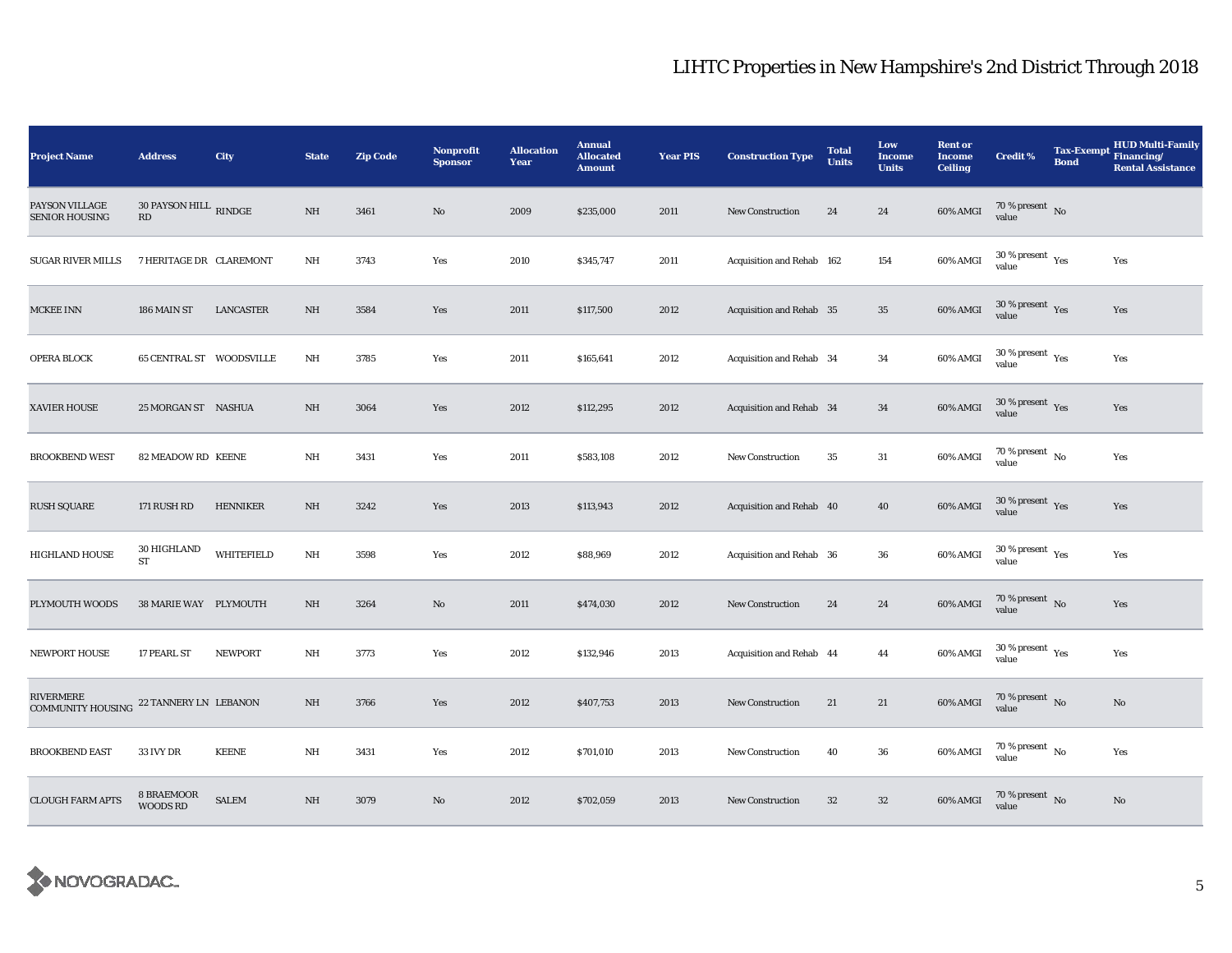| <b>Project Name</b>                     | <b>Address</b>                                         | <b>City</b>       | <b>State</b> | <b>Zip Code</b> | <b>Nonprofit</b><br><b>Sponsor</b> | <b>Allocation</b><br>Year | <b>Annual</b><br><b>Allocated</b><br><b>Amount</b> | <b>Year PIS</b> | <b>Construction Type</b>  | <b>Total</b><br><b>Units</b> | Low<br><b>Income</b><br><b>Units</b> | <b>Rent or</b><br><b>Income</b><br><b>Ceiling</b> | <b>Credit %</b>                              | <b>Tax-Exempt</b><br><b>Bond</b> | <b>HUD Multi-Family</b><br>Financing/<br><b>Rental Assistance</b> |
|-----------------------------------------|--------------------------------------------------------|-------------------|--------------|-----------------|------------------------------------|---------------------------|----------------------------------------------------|-----------------|---------------------------|------------------------------|--------------------------------------|---------------------------------------------------|----------------------------------------------|----------------------------------|-------------------------------------------------------------------|
| PAYSON VILLAGE<br><b>SENIOR HOUSING</b> | $30$ PAYSON HILL $\,$ RINDGE<br>$\mathbf{R}\mathbf{D}$ |                   | $\rm{NH}$    | 3461            | $\mathbf{N}\mathbf{o}$             | 2009                      | \$235,000                                          | 2011            | New Construction          | 24                           | 24                                   | 60% AMGI                                          | $70\,\%$ present $\,$ No value               |                                  |                                                                   |
| <b>SUGAR RIVER MILLS</b>                | 7 HERITAGE DR CLAREMONT                                |                   | $\rm{NH}$    | 3743            | Yes                                | 2010                      | \$345,747                                          | 2011            | Acquisition and Rehab 162 |                              | 154                                  | 60% AMGI                                          | $30\,\%$ present $\,$ $\rm Yes$<br>value     |                                  | Yes                                                               |
| <b>MCKEE INN</b>                        | 186 MAIN ST                                            | LANCASTER         | NH           | 3584            | Yes                                | 2011                      | \$117,500                                          | 2012            | Acquisition and Rehab 35  |                              | $35\,$                               | $60\%$ AMGI                                       | $30\,\%$ present $\,$ Yes value              |                                  | Yes                                                               |
| OPERA BLOCK                             | 65 CENTRAL ST WOODSVILLE                               |                   | $_{\rm NH}$  | 3785            | Yes                                | 2011                      | \$165,641                                          | 2012            | Acquisition and Rehab 34  |                              | 34                                   | 60% AMGI                                          | $30$ % present $\rm\thinspace\,Yes$<br>value |                                  | Yes                                                               |
| XAVIER HOUSE                            | 25 MORGAN ST NASHUA                                    |                   | $_{\rm NH}$  | 3064            | Yes                                | 2012                      | \$112,295                                          | 2012            | Acquisition and Rehab 34  |                              | 34                                   | 60% AMGI                                          | $30\,\%$ present $\,$ Yes value              |                                  | Yes                                                               |
| <b>BROOKBEND WEST</b>                   | 82 MEADOW RD KEENE                                     |                   | NH           | 3431            | Yes                                | 2011                      | \$583,108                                          | 2012            | New Construction          | 35                           | 31                                   | 60% AMGI                                          | $70\,\%$ present $\,$ No value               |                                  | Yes                                                               |
| <b>RUSH SQUARE</b>                      | 171 RUSH RD                                            | <b>HENNIKER</b>   | $\rm{NH}$    | 3242            | Yes                                | 2013                      | \$113,943                                          | 2012            | Acquisition and Rehab 40  |                              | 40                                   | 60% AMGI                                          | $30\,\%$ present $\,$ Yes value              |                                  | Yes                                                               |
| <b>HIGHLAND HOUSE</b>                   | 30 HIGHLAND<br><b>ST</b>                               | <b>WHITEFIELD</b> | $\rm{NH}$    | 3598            | Yes                                | 2012                      | \$88,969                                           | 2012            | Acquisition and Rehab 36  |                              | 36                                   | 60% AMGI                                          | $30\,\%$ present $\,$ Yes value              |                                  | Yes                                                               |
| PLYMOUTH WOODS                          | 38 MARIE WAY PLYMOUTH                                  |                   | NH           | 3264            | No                                 | 2011                      | \$474,030                                          | 2012            | New Construction          | 24                           | 24                                   | $60\%$ AMGI                                       | $70\,\%$ present $\,$ No value               |                                  | Yes                                                               |
| <b>NEWPORT HOUSE</b>                    | 17 PEARL ST                                            | <b>NEWPORT</b>    | NH           | 3773            | Yes                                | 2012                      | \$132,946                                          | 2013            | Acquisition and Rehab 44  |                              | 44                                   | 60% AMGI                                          | $30\,\%$ present $\,$ Yes value              |                                  | Yes                                                               |
| RIVERMERE<br><b>COMMUNITY HOUSING</b>   | 22 TANNERY LN LEBANON                                  |                   | NH           | 3766            | Yes                                | 2012                      | \$407,753                                          | 2013            | New Construction          | 21                           | 21                                   | 60% AMGI                                          | $70\,\%$ present $\,$ No value               |                                  | No                                                                |
| <b>BROOKBEND EAST</b>                   | 33 IVY DR                                              | <b>KEENE</b>      | NH           | 3431            | Yes                                | 2012                      | \$701,010                                          | 2013            | <b>New Construction</b>   | 40                           | ${\bf 36}$                           | 60% AMGI                                          | $70\,\%$ present $\,$ No value               |                                  | Yes                                                               |
| <b>CLOUGH FARM APTS</b>                 | 8 BRAEMOOR<br><b>WOODS RD</b>                          | <b>SALEM</b>      | NH           | 3079            | No                                 | 2012                      | \$702,059                                          | 2013            | <b>New Construction</b>   | $32\,$                       | $32\phantom{.0}$                     | 60% AMGI                                          | $70\,\%$ present $\,$ No value               |                                  | No                                                                |

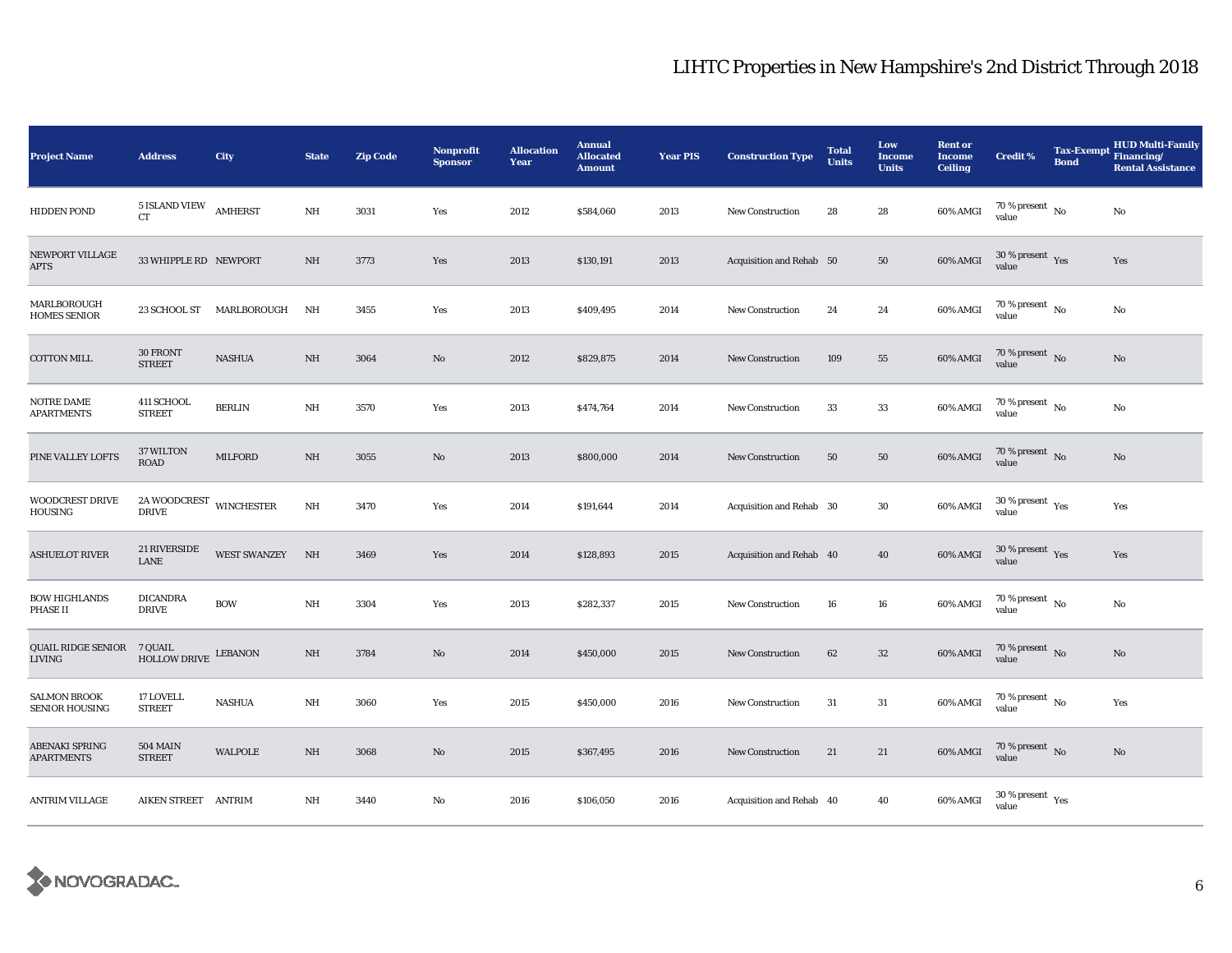| <b>Project Name</b>                          | <b>Address</b>                                  | <b>City</b>         | <b>State</b> | <b>Zip Code</b> | Nonprofit<br><b>Sponsor</b> | <b>Allocation</b><br>Year | <b>Annual</b><br><b>Allocated</b><br><b>Amount</b> | <b>Year PIS</b> | <b>Construction Type</b> | <b>Total</b><br><b>Units</b> | Low<br><b>Income</b><br><b>Units</b> | <b>Rent or</b><br><b>Income</b><br><b>Ceiling</b> | <b>Credit %</b>                             | <b>Tax-Exempt</b><br><b>Bond</b> | <b>HUD Multi-Family</b><br>Financing/<br><b>Rental Assistance</b> |
|----------------------------------------------|-------------------------------------------------|---------------------|--------------|-----------------|-----------------------------|---------------------------|----------------------------------------------------|-----------------|--------------------------|------------------------------|--------------------------------------|---------------------------------------------------|---------------------------------------------|----------------------------------|-------------------------------------------------------------------|
| <b>HIDDEN POND</b>                           | 5 ISLAND VIEW<br>CT                             | <b>AMHERST</b>      | $\rm{NH}$    | 3031            | Yes                         | 2012                      | \$584,060                                          | 2013            | <b>New Construction</b>  | 28                           | 28                                   | 60% AMGI                                          | $70\,\%$ present $\,$ No value              |                                  | $\rm No$                                                          |
| NEWPORT VILLAGE<br><b>APTS</b>               | 33 WHIPPLE RD NEWPORT                           |                     | NH           | 3773            | Yes                         | 2013                      | \$130,191                                          | 2013            | Acquisition and Rehab 50 |                              | 50                                   | 60% AMGI                                          | $30\,\%$ present $\,$ $_{\rm Yes}$<br>value |                                  | Yes                                                               |
| MARLBOROUGH<br><b>HOMES SENIOR</b>           | 23 SCHOOL ST                                    | MARLBOROUGH         | NH           | 3455            | Yes                         | 2013                      | \$409,495                                          | 2014            | <b>New Construction</b>  | 24                           | 24                                   | 60% AMGI                                          | $70$ % present $\,$ No $\,$<br>value        |                                  | No                                                                |
| COTTON MILL                                  | 30 FRONT<br><b>STREET</b>                       | <b>NASHUA</b>       | NH           | 3064            | No                          | 2012                      | \$829,875                                          | 2014            | <b>New Construction</b>  | 109                          | 55                                   | 60% AMGI                                          | $70\,\%$ present $\,$ No value              |                                  | $\rm No$                                                          |
| NOTRE DAME<br><b>APARTMENTS</b>              | 411 SCHOOL<br><b>STREET</b>                     | <b>BERLIN</b>       | $\rm{NH}$    | 3570            | Yes                         | 2013                      | \$474,764                                          | 2014            | <b>New Construction</b>  | $33\,$                       | 33                                   | 60% AMGI                                          | $70$ % present $\,$ No $\,$<br>value        |                                  | $\rm No$                                                          |
| PINE VALLEY LOFTS                            | 37 WILTON<br><b>ROAD</b>                        | MILFORD             | $\rm NH$     | 3055            | No                          | 2013                      | \$800,000                                          | 2014            | <b>New Construction</b>  | 50                           | 50                                   | 60% AMGI                                          | $70\,\%$ present $\,$ No value              |                                  | $\rm No$                                                          |
| <b>WOODCREST DRIVE</b><br>HOUSING            | $2\mathtt{A}\,$ WOODCREST $\,$ WINCHESTER DRIVE |                     | $\rm{NH}$    | 3470            | Yes                         | 2014                      | \$191,644                                          | 2014            | Acquisition and Rehab 30 |                              | $30\,$                               | 60% AMGI                                          | $30\,\%$ present $\,$ $_{\rm Yes}$<br>value |                                  | Yes                                                               |
| <b>ASHUELOT RIVER</b>                        | 21 RIVERSIDE<br>LANE                            | <b>WEST SWANZEY</b> | NH           | 3469            | Yes                         | 2014                      | \$128,893                                          | 2015            | Acquisition and Rehab 40 |                              | 40                                   | 60% AMGI                                          | $30\,\%$ present $\,$ Yes value             |                                  | Yes                                                               |
| <b>BOW HIGHLANDS</b><br>PHASE II             | <b>DICANDRA</b><br><b>DRIVE</b>                 | <b>BOW</b>          | $\rm{NH}$    | 3304            | Yes                         | 2013                      | \$282,337                                          | 2015            | New Construction         | 16                           | 16                                   | 60% AMGI                                          | $70\,\%$ present $\,$ No value              |                                  | $\rm No$                                                          |
| QUAIL RIDGE SENIOR<br><b>LIVING</b>          | 7 QUAIL<br>HOLLOW DRIVE LEBANON                 |                     | NH           | 3784            | No                          | 2014                      | \$450,000                                          | 2015            | <b>New Construction</b>  | 62                           | $32\phantom{.0}$                     | 60% AMGI                                          | $70\,\%$ present $\,$ No value              |                                  | $\rm No$                                                          |
| <b>SALMON BROOK</b><br><b>SENIOR HOUSING</b> | 17 LOVELL<br><b>STREET</b>                      | <b>NASHUA</b>       | NH           | 3060            | Yes                         | 2015                      | \$450,000                                          | 2016            | <b>New Construction</b>  | 31                           | 31                                   | 60% AMGI                                          | $70\,\%$ present $_{\rm{No}}$               |                                  | Yes                                                               |
| ABENAKI SPRING<br><b>APARTMENTS</b>          | <b>504 MAIN</b><br><b>STREET</b>                | <b>WALPOLE</b>      | $\rm{NH}$    | 3068            | No                          | 2015                      | \$367,495                                          | 2016            | New Construction         | 21                           | 21                                   | $60\%$ AMGI                                       | $70\,\%$ present $\,$ No value              |                                  | $\rm No$                                                          |
| <b>ANTRIM VILLAGE</b>                        | AIKEN STREET ANTRIM                             |                     | NH           | 3440            | No                          | 2016                      | \$106,050                                          | 2016            | Acquisition and Rehab 40 |                              | 40                                   | 60% AMGI                                          | $30\,\%$ present $\,$ Yes value             |                                  |                                                                   |

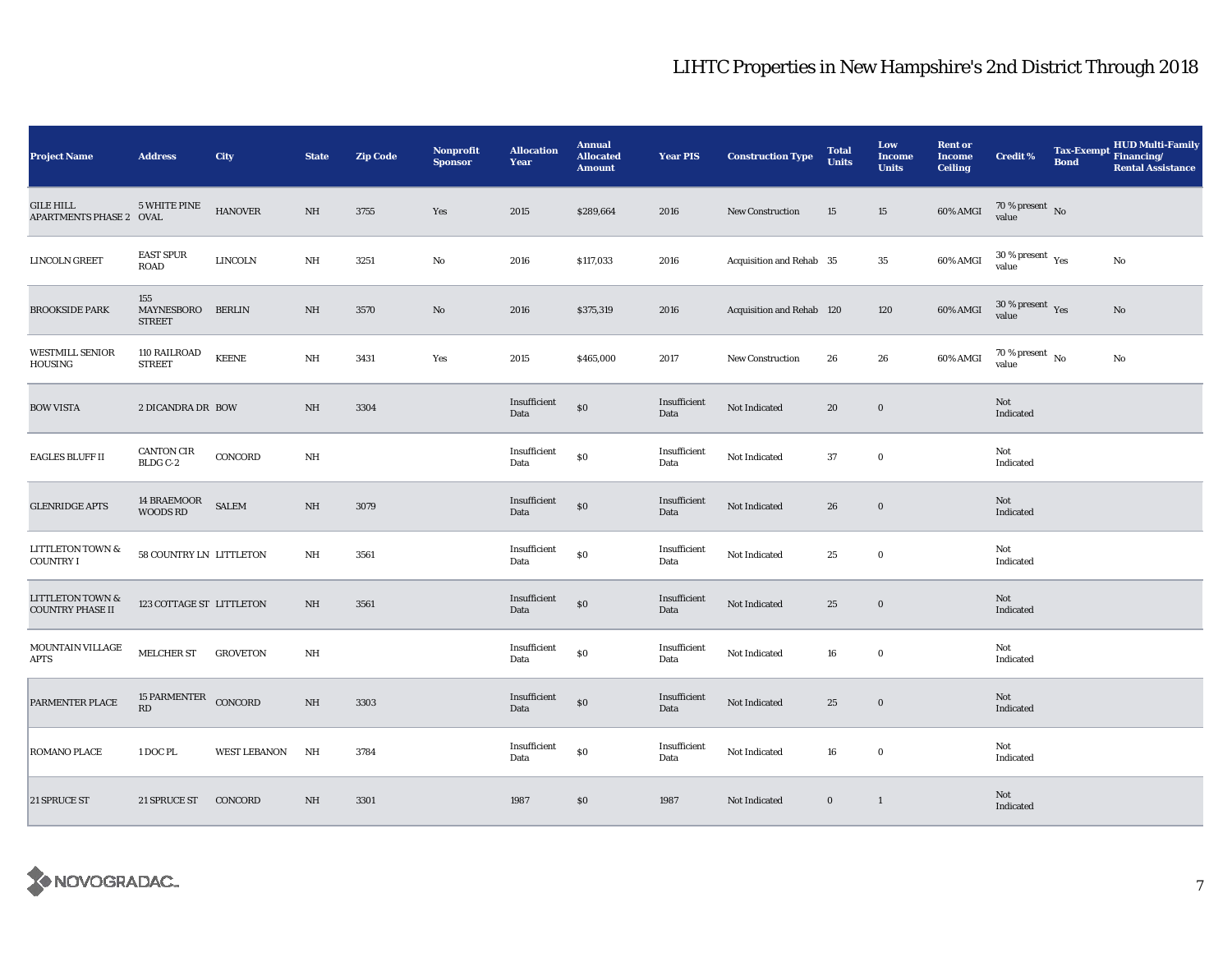| <b>Project Name</b>                                    | <b>Address</b>                        | City                | <b>State</b> | <b>Zip Code</b> | Nonprofit<br><b>Sponsor</b> | <b>Allocation</b><br>Year | <b>Annual</b><br><b>Allocated</b><br><b>Amount</b> | <b>Year PIS</b>      | <b>Construction Type</b>  | <b>Total</b><br><b>Units</b> | Low<br><b>Income</b><br><b>Units</b> | <b>Rent or</b><br><b>Income</b><br><b>Ceiling</b> | <b>Credit %</b>                          | <b>Tax-Exempt</b><br><b>Bond</b> | HUD Multi-Family<br>Financing/<br><b>Rental Assistance</b> |
|--------------------------------------------------------|---------------------------------------|---------------------|--------------|-----------------|-----------------------------|---------------------------|----------------------------------------------------|----------------------|---------------------------|------------------------------|--------------------------------------|---------------------------------------------------|------------------------------------------|----------------------------------|------------------------------------------------------------|
| <b>GILE HILL</b><br>APARTMENTS PHASE 2 OVAL            | 5 WHITE PINE                          | <b>HANOVER</b>      | NH           | 3755            | Yes                         | 2015                      | \$289,664                                          | 2016                 | New Construction          | 15                           | 15                                   | 60% AMGI                                          | $70\,\%$ present $\,$ No value           |                                  |                                                            |
| <b>LINCOLN GREET</b>                                   | <b>EAST SPUR</b><br>ROAD              | <b>LINCOLN</b>      | NH           | 3251            | No                          | 2016                      | \$117,033                                          | 2016                 | Acquisition and Rehab 35  |                              | $35\,$                               | 60% AMGI                                          | $30\,\%$ present $\,$ $\rm Yes$<br>value |                                  | $\rm No$                                                   |
| <b>BROOKSIDE PARK</b>                                  | 155<br>MAYNESBORO<br><b>STREET</b>    | <b>BERLIN</b>       | NH           | 3570            | $\mathbf{No}$               | 2016                      | \$375,319                                          | 2016                 | Acquisition and Rehab 120 |                              | 120                                  | 60% AMGI                                          | $30\,\%$ present $\,$ Yes value          |                                  | $\mathbf{No}$                                              |
| <b>WESTMILL SENIOR</b><br>HOUSING                      | 110 RAILROAD<br><b>STREET</b>         | <b>KEENE</b>        | NH           | 3431            | Yes                         | 2015                      | \$465,000                                          | 2017                 | New Construction          | 26                           | 26                                   | 60% AMGI                                          | $70$ % present $\,$ No $\,$<br>value     |                                  | No                                                         |
| <b>BOW VISTA</b>                                       | 2 DICANDRA DR BOW                     |                     | NH           | 3304            |                             | Insufficient<br>Data      | $\$0$                                              | Insufficient<br>Data | Not Indicated             | 20                           | $\bf{0}$                             |                                                   | Not<br>Indicated                         |                                  |                                                            |
| <b>EAGLES BLUFF II</b>                                 | <b>CANTON CIR</b><br>BLDG C-2         | CONCORD             | NH           |                 |                             | Insufficient<br>Data      | $\$0$                                              | Insufficient<br>Data | Not Indicated             | 37                           | $\bf{0}$                             |                                                   | Not<br>Indicated                         |                                  |                                                            |
| <b>GLENRIDGE APTS</b>                                  | <b>14 BRAEMOOR</b><br><b>WOODS RD</b> | <b>SALEM</b>        | NH           | 3079            |                             | Insufficient<br>Data      | $\$0$                                              | Insufficient<br>Data | Not Indicated             | 26                           | $\mathbf 0$                          |                                                   | Not<br>Indicated                         |                                  |                                                            |
| <b>LITTLETON TOWN &amp;</b><br><b>COUNTRY I</b>        | 58 COUNTRY LN LITTLETON               |                     | $\rm{NH}$    | 3561            |                             | Insufficient<br>Data      | \$0                                                | Insufficient<br>Data | Not Indicated             | 25                           | $\mathbf 0$                          |                                                   | Not<br>Indicated                         |                                  |                                                            |
| <b>LITTLETON TOWN &amp;</b><br><b>COUNTRY PHASE II</b> | 123 COTTAGE ST LITTLETON              |                     | NH           | 3561            |                             | Insufficient<br>Data      | $\$0$                                              | Insufficient<br>Data | Not Indicated             | 25                           | $\mathbf 0$                          |                                                   | Not<br>Indicated                         |                                  |                                                            |
| MOUNTAIN VILLAGE<br><b>APTS</b>                        | MELCHER ST                            | GROVETON            | NH           |                 |                             | Insufficient<br>Data      | $\$0$                                              | Insufficient<br>Data | Not Indicated             | 16                           | $\mathbf 0$                          |                                                   | Not<br>Indicated                         |                                  |                                                            |
| PARMENTER PLACE                                        | 15 PARMENTER CONCORD<br><b>RD</b>     |                     | $\rm{NH}$    | 3303            |                             | Insufficient<br>Data      | $\$0$                                              | Insufficient<br>Data | Not Indicated             | 25                           | $\bf{0}$                             |                                                   | Not<br>Indicated                         |                                  |                                                            |
| ROMANO PLACE                                           | 1 DOC PL                              | <b>WEST LEBANON</b> | NH           | 3784            |                             | Insufficient<br>Data      | \$0                                                | Insufficient<br>Data | Not Indicated             | 16                           | $\mathbf 0$                          |                                                   | Not<br>Indicated                         |                                  |                                                            |
| 21 SPRUCE ST                                           | 21 SPRUCE ST CONCORD                  |                     | NH           | 3301            |                             | 1987                      | \$0                                                | 1987                 | Not Indicated             | $\bf{0}$                     | $\mathbf{1}$                         |                                                   | Not<br>Indicated                         |                                  |                                                            |

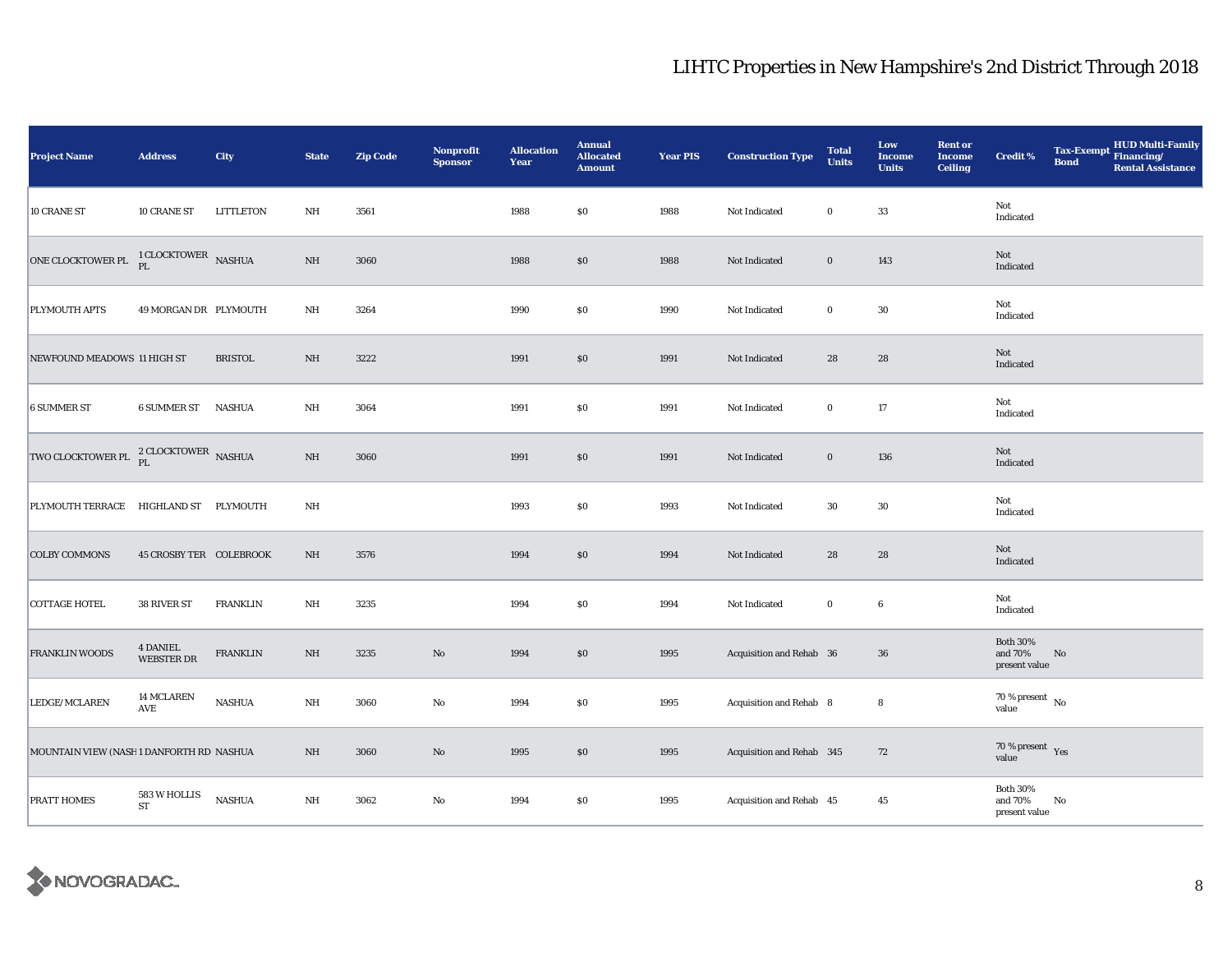| <b>Project Name</b>                             | <b>Address</b>                 | City             | <b>State</b>            | <b>Zip Code</b> | <b>Nonprofit</b><br><b>Sponsor</b> | <b>Allocation</b><br>Year | <b>Annual</b><br><b>Allocated</b><br><b>Amount</b> | <b>Year PIS</b> | <b>Construction Type</b>  | <b>Total</b><br><b>Units</b> | Low<br><b>Income</b><br><b>Units</b> | <b>Rent or</b><br><b>Income</b><br><b>Ceiling</b> | <b>Credit %</b>                             | <b>Bond</b> | HUD Multi-Family<br>Tax-Exempt Financing/<br><b>Rental Assistance</b> |
|-------------------------------------------------|--------------------------------|------------------|-------------------------|-----------------|------------------------------------|---------------------------|----------------------------------------------------|-----------------|---------------------------|------------------------------|--------------------------------------|---------------------------------------------------|---------------------------------------------|-------------|-----------------------------------------------------------------------|
| 10 CRANE ST                                     | 10 CRANE ST                    | <b>LITTLETON</b> | $\rm{NH}$               | 3561            |                                    | 1988                      | \$0                                                | 1988            | Not Indicated             | $\bf{0}$                     | 33                                   |                                                   | Not<br>Indicated                            |             |                                                                       |
| ONE CLOCKTOWER PL                               | $1$ CLOCKTOWER $\,$ NASHUA PL  |                  | $\rm{NH}$               | 3060            |                                    | 1988                      | $\$0$                                              | 1988            | Not Indicated             | $\bf{0}$                     | 143                                  |                                                   | Not<br>Indicated                            |             |                                                                       |
| PLYMOUTH APTS                                   | 49 MORGAN DR PLYMOUTH          |                  | $\rm{NH}$               | 3264            |                                    | 1990                      | \$0                                                | 1990            | Not Indicated             | $\bf{0}$                     | $30\,$                               |                                                   | Not<br>Indicated                            |             |                                                                       |
| NEWFOUND MEADOWS 11 HIGH ST                     |                                | <b>BRISTOL</b>   | $\rm{NH}$               | 3222            |                                    | 1991                      | $\$0$                                              | 1991            | Not Indicated             | 28                           | 28                                   |                                                   | Not<br>Indicated                            |             |                                                                       |
| <b>6 SUMMER ST</b>                              | <b>6 SUMMER ST</b>             | <b>NASHUA</b>    | $\rm{NH}$               | 3064            |                                    | 1991                      | \$0                                                | 1991            | Not Indicated             | $\bf{0}$                     | 17                                   |                                                   | Not<br>Indicated                            |             |                                                                       |
| TWO CLOCKTOWER PL $_{PL}^{2}$ CLOCKTOWER NASHUA |                                |                  | $\rm{NH}$               | 3060            |                                    | 1991                      | \$0                                                | 1991            | Not Indicated             | $\bf{0}$                     | 136                                  |                                                   | Not<br>Indicated                            |             |                                                                       |
| PLYMOUTH TERRACE HIGHLAND ST PLYMOUTH           |                                |                  | NH                      |                 |                                    | 1993                      | \$0                                                | 1993            | Not Indicated             | 30                           | 30                                   |                                                   | Not<br>Indicated                            |             |                                                                       |
| <b>COLBY COMMONS</b>                            | <b>45 CROSBY TER COLEBROOK</b> |                  | $\rm{NH}$               | 3576            |                                    | 1994                      | \$0                                                | 1994            | Not Indicated             | 28                           | 28                                   |                                                   | Not<br>Indicated                            |             |                                                                       |
| <b>COTTAGE HOTEL</b>                            | 38 RIVER ST                    | <b>FRANKLIN</b>  | NH                      | 3235            |                                    | 1994                      | \$0                                                | 1994            | Not Indicated             | $\bf{0}$                     | $6\phantom{.0}$                      |                                                   | Not<br>Indicated                            |             |                                                                       |
| <b>FRANKLIN WOODS</b>                           | <b>4 DANIEL</b><br>WEBSTER DR  | <b>FRANKLIN</b>  | $\rm NH$                | 3235            | $\rm No$                           | 1994                      | \$0                                                | 1995            | Acquisition and Rehab 36  |                              | $36\,$                               |                                                   | <b>Both 30%</b><br>and 70%<br>present value | No          |                                                                       |
| LEDGE/MCLAREN                                   | <b>14 MCLAREN</b><br>AVE       | <b>NASHUA</b>    | NH                      | 3060            | No                                 | 1994                      | \$0                                                | 1995            | Acquisition and Rehab 8   |                              | 8                                    |                                                   | $70\,\%$ present $\,$ No value              |             |                                                                       |
| MOUNTAIN VIEW (NASH1 DANFORTH RD NASHUA         |                                |                  | NH                      | 3060            | $\rm No$                           | 1995                      | \$0                                                | 1995            | Acquisition and Rehab 345 |                              | 72                                   |                                                   | $70\,\%$ present $\;\;$ Yes value           |             |                                                                       |
| <b>PRATT HOMES</b>                              | 583 W HOLLIS<br>${\rm ST}$     | <b>NASHUA</b>    | $\mathbf{N} \mathbf{H}$ | 3062            | $\rm No$                           | 1994                      | \$0                                                | 1995            | Acquisition and Rehab 45  |                              | 45                                   |                                                   | <b>Both 30%</b><br>and 70%<br>present value | No          |                                                                       |

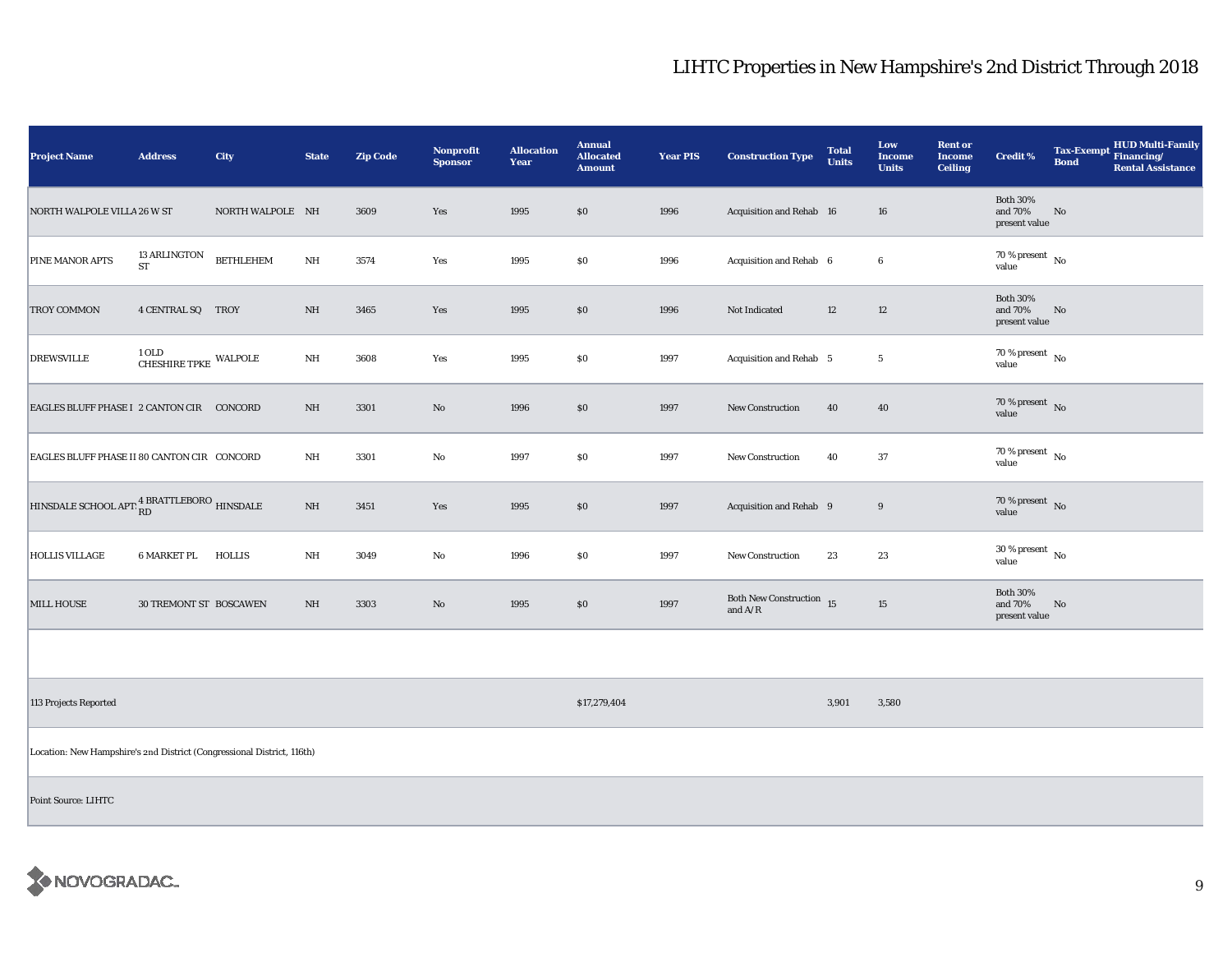| <b>Project Name</b>                                                                            | <b>Address</b>                      | City             | <b>State</b> | <b>Zip Code</b> | <b>Nonprofit</b><br><b>Sponsor</b> | <b>Allocation</b><br>Year | <b>Annual</b><br><b>Allocated</b><br><b>Amount</b> | <b>Year PIS</b> | <b>Construction Type</b>                    | <b>Total</b><br><b>Units</b> | Low<br><b>Income</b><br><b>Units</b> | <b>Rent or</b><br><b>Income</b><br><b>Ceiling</b> | <b>Credit %</b>                                | <b>Bond</b> | HUD Multi-Family<br>Tax-Exempt Financing/<br><b>Rental Assistance</b> |
|------------------------------------------------------------------------------------------------|-------------------------------------|------------------|--------------|-----------------|------------------------------------|---------------------------|----------------------------------------------------|-----------------|---------------------------------------------|------------------------------|--------------------------------------|---------------------------------------------------|------------------------------------------------|-------------|-----------------------------------------------------------------------|
| NORTH WALPOLE VILLA 26 W ST                                                                    |                                     | NORTH WALPOLE NH |              | 3609            | Yes                                | 1995                      | $\$0$                                              | 1996            | Acquisition and Rehab 16                    |                              | 16                                   |                                                   | <b>Both 30%</b><br>and $70\%$<br>present value | No          |                                                                       |
| PINE MANOR APTS                                                                                | 13 ARLINGTON<br>${\rm ST}$          | <b>BETHLEHEM</b> | NH           | 3574            | Yes                                | 1995                      | \$0\$                                              | 1996            | Acquisition and Rehab 6                     |                              | $6\phantom{.0}$                      |                                                   | 70 % present $\,$ No $\,$<br>value             |             |                                                                       |
| <b>TROY COMMON</b>                                                                             | 4 CENTRAL SQ TROY                   |                  | NH           | 3465            | Yes                                | 1995                      | $\$0$                                              | 1996            | Not Indicated                               | 12                           | 12                                   |                                                   | <b>Both 30%</b><br>and 70%<br>present value    | No          |                                                                       |
| <b>DREWSVILLE</b>                                                                              | 1 OLD<br>CHESHIRE TPKE $\,$ WALPOLE |                  | $\rm{NH}$    | 3608            | Yes                                | 1995                      | \$0\$                                              | 1997            | Acquisition and Rehab 5                     |                              | $\sqrt{5}$                           |                                                   | $70\,\%$ present $\,$ No value                 |             |                                                                       |
| EAGLES BLUFF PHASE I 2 CANTON CIR CONCORD                                                      |                                     |                  | NH           | 3301            | $\rm No$                           | 1996                      | \$0\$                                              | 1997            | New Construction                            | 40                           | 40                                   |                                                   | 70 % present $\overline{N}$<br>value           |             |                                                                       |
| EAGLES BLUFF PHASE II 80 CANTON CIR CONCORD                                                    |                                     |                  | NH           | 3301            | $\rm No$                           | 1997                      | \$0                                                | 1997            | New Construction                            | 40                           | 37                                   |                                                   | 70 % present $\hbox{~No}$<br>value             |             |                                                                       |
| HINSDALE SCHOOL APT: $^{\displaystyle 4 \, {\rm BRATTLEBORO}}_{\displaystyle\rm R D}$ HINSDALE |                                     |                  | $\rm{NH}$    | 3451            | Yes                                | 1995                      | $\$0$                                              | 1997            | Acquisition and Rehab 9                     |                              | 9                                    |                                                   | $70\,\%$ present $\,$ No value                 |             |                                                                       |
| <b>HOLLIS VILLAGE</b>                                                                          | 6 MARKET PL                         | HOLLIS           | $\rm{NH}$    | 3049            | $\rm No$                           | 1996                      | $\$0$                                              | 1997            | New Construction                            | 23                           | 23                                   |                                                   | $30$ % present $\,$ No $\,$<br>value           |             |                                                                       |
| <b>MILL HOUSE</b>                                                                              | 30 TREMONT ST BOSCAWEN              |                  | NH           | 3303            | $\rm No$                           | 1995                      | \$0                                                | 1997            | Both New Construction $15$<br>and $\rm A/R$ |                              | 15                                   |                                                   | <b>Both 30%</b><br>and 70%<br>present value    | No          |                                                                       |
|                                                                                                |                                     |                  |              |                 |                                    |                           |                                                    |                 |                                             |                              |                                      |                                                   |                                                |             |                                                                       |
| 113 Projects Reported                                                                          |                                     |                  |              |                 |                                    |                           | \$17,279,404                                       |                 |                                             | 3,901                        | 3,580                                |                                                   |                                                |             |                                                                       |
| Location: New Hampshire's 2nd District (Congressional District, 116th)                         |                                     |                  |              |                 |                                    |                           |                                                    |                 |                                             |                              |                                      |                                                   |                                                |             |                                                                       |
| <b>Point Source: LIHTC</b>                                                                     |                                     |                  |              |                 |                                    |                           |                                                    |                 |                                             |                              |                                      |                                                   |                                                |             |                                                                       |